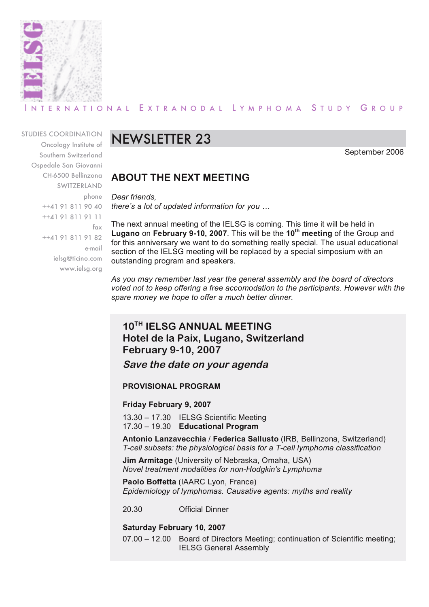

### RNATIONAL EXTRANODAL LYMPHOMA STUDY GROUP

STUDIES COORDINATION

Oncology Institute of Southern Switzerland Ospedale San Giovanni CH-6500 Bellinzona **SWITZERLAND** phone ++41 91 811 90 40 ++41 91 811 91 11 fax ++41 91 811 91 82 e-mail ielsg@ticino.com www.ielsg.org

# NEWSLETTER 23

September 2006

### **ABOUT THE NEXT MEETING**

*Dear friends, there's a lot of updated information for you …*

The next annual meeting of the IELSG is coming. This time it will be held in **Lugano** on **February 9-10, 2007**. This will be the **10th meeting** of the Group and for this anniversary we want to do something really special. The usual educational section of the IELSG meeting will be replaced by a special simposium with an outstanding program and speakers.

*As you may remember last year the general assembly and the board of directors voted not to keep offering a free accomodation to the participants. However with the spare money we hope to offer a much better dinner.*

# **10TH IELSG ANNUAL MEETING Hotel de la Paix, Lugano, Switzerland February 9-10, 2007**

**Save the date on your agenda**

### **PROVISIONAL PROGRAM**

### **Friday February 9, 2007**

13.30 – 17.30 IELSG Scientific Meeting 17.30 – 19.30 **Educational Program**

**Antonio Lanzavecchia** / **Federica Sallusto** (IRB, Bellinzona, Switzerland) *T-cell subsets: the physiological basis for a T-cell lymphoma classification*

**Jim Armitage** (University of Nebraska, Omaha, USA) *Novel treatment modalities for non-Hodgkin's Lymphoma*

**Paolo Boffetta** (IAARC Lyon, France) *Epidemiology of lymphomas. Causative agents: myths and reality*

20.30 Official Dinner

### **Saturday February 10, 2007**

07.00 – 12.00 Board of Directors Meeting; continuation of Scientific meeting; IELSG General Assembly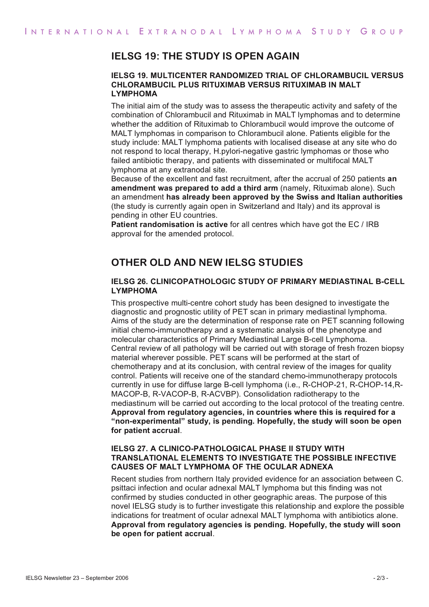### **IELSG 19: THE STUDY IS OPEN AGAIN**

#### **IELSG 19. MULTICENTER RANDOMIZED TRIAL OF CHLORAMBUCIL VERSUS CHLORAMBUCIL PLUS RITUXIMAB VERSUS RITUXIMAB IN MALT LYMPHOMA**

The initial aim of the study was to assess the therapeutic activity and safety of the combination of Chlorambucil and Rituximab in MALT lymphomas and to determine whether the addition of Rituximab to Chlorambucil would improve the outcome of MALT lymphomas in comparison to Chlorambucil alone. Patients eligible for the study include: MALT lymphoma patients with localised disease at any site who do not respond to local therapy, H.pylori-negative gastric lymphomas or those who failed antibiotic therapy, and patients with disseminated or multifocal MALT lymphoma at any extranodal site.

Because of the excellent and fast recruitment, after the accrual of 250 patients **an amendment was prepared to add a third arm** (namely, Rituximab alone). Such an amendment **has already been approved by the Swiss and Italian authorities** (the study is currently again open in Switzerland and Italy) and its approval is pending in other EU countries.

**Patient randomisation is active** for all centres which have got the EC / IRB approval for the amended protocol.

### **OTHER OLD AND NEW IELSG STUDIES**

#### **IELSG 26. CLINICOPATHOLOGIC STUDY OF PRIMARY MEDIASTINAL B-CELL LYMPHOMA**

This prospective multi-centre cohort study has been designed to investigate the diagnostic and prognostic utility of PET scan in primary mediastinal lymphoma. Aims of the study are the determination of response rate on PET scanning following initial chemo-immunotherapy and a systematic analysis of the phenotype and molecular characteristics of Primary Mediastinal Large B-cell Lymphoma. Central review of all pathology will be carried out with storage of fresh frozen biopsy material wherever possible. PET scans will be performed at the start of chemotherapy and at its conclusion, with central review of the images for quality control. Patients will receive one of the standard chemo-immunotherapy protocols currently in use for diffuse large B-cell lymphoma (i.e., R-CHOP-21, R-CHOP-14,R-MACOP-B, R-VACOP-B, R-ACVBP). Consolidation radiotherapy to the mediastinum will be carried out according to the local protocol of the treating centre. **Approval from regulatory agencies, in countries where this is required for a "non-experimental" study, is pending. Hopefully, the study will soon be open for patient accrual**.

#### **IELSG 27. A CLINICO-PATHOLOGICAL PHASE II STUDY WITH TRANSLATIONAL ELEMENTS TO INVESTIGATE THE POSSIBLE INFECTIVE CAUSES OF MALT LYMPHOMA OF THE OCULAR ADNEXA**

Recent studies from northern Italy provided evidence for an association between C. psittaci infection and ocular adnexal MALT lymphoma but this finding was not confirmed by studies conducted in other geographic areas. The purpose of this novel IELSG study is to further investigate this relationship and explore the possible indications for treatment of ocular adnexal MALT lymphoma with antibiotics alone. **Approval from regulatory agencies is pending. Hopefully, the study will soon be open for patient accrual**.